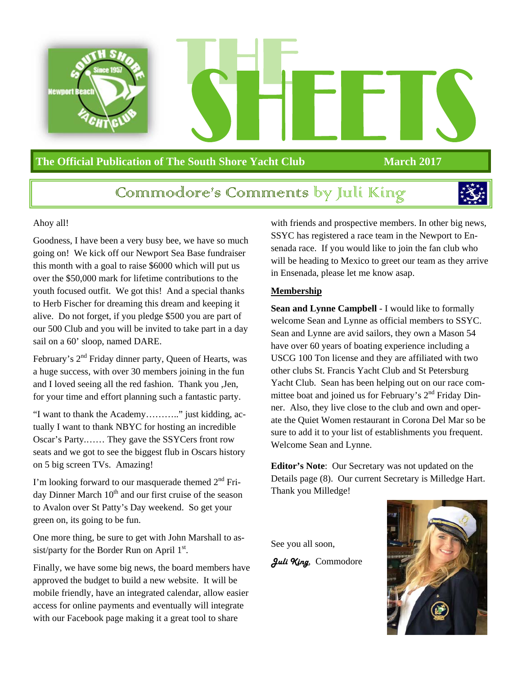

### **The Official Publication of The South Shore Yacht Club March 2017**

### Commmodore's Commments by Juli King



#### Ahoy all!

Goodness, I have been a very busy bee, we have so much going on! We kick off our Newport Sea Base fundraiser this month with a goal to raise \$6000 which will put us over the \$50,000 mark for lifetime contributions to the youth focused outfit. We got this! And a special thanks to Herb Fischer for dreaming this dream and keeping it alive. Do not forget, if you pledge \$500 you are part of our 500 Club and you will be invited to take part in a day sail on a 60' sloop, named DARE.

February's 2<sup>nd</sup> Friday dinner party, Queen of Hearts, was a huge success, with over 30 members joining in the fun and I loved seeing all the red fashion. Thank you ,Jen, for your time and effort planning such a fantastic party.

"I want to thank the Academy……….." just kidding, actually I want to thank NBYC for hosting an incredible Oscar's Party.…… They gave the SSYCers front row seats and we got to see the biggest flub in Oscars history on 5 big screen TVs. Amazing!

I'm looking forward to our masquerade themed  $2<sup>nd</sup>$  Friday Dinner March  $10<sup>th</sup>$  and our first cruise of the season to Avalon over St Patty's Day weekend. So get your green on, its going to be fun.

One more thing, be sure to get with John Marshall to assist/party for the Border Run on April  $1<sup>st</sup>$ .

Finally, we have some big news, the board members have approved the budget to build a new website. It will be mobile friendly, have an integrated calendar, allow easier access for online payments and eventually will integrate with our Facebook page making it a great tool to share

with friends and prospective members. In other big news, SSYC has registered a race team in the Newport to Ensenada race. If you would like to join the fan club who will be heading to Mexico to greet our team as they arrive in Ensenada, please let me know asap.

#### **Membership**

**Sean and Lynne Campbell** - I would like to formally welcome Sean and Lynne as official members to SSYC. Sean and Lynne are avid sailors, they own a Mason 54 have over 60 years of boating experience including a USCG 100 Ton license and they are affiliated with two other clubs St. Francis Yacht Club and St Petersburg Yacht Club. Sean has been helping out on our race committee boat and joined us for February's  $2<sup>nd</sup>$  Friday Dinner. Also, they live close to the club and own and operate the Quiet Women restaurant in Corona Del Mar so be sure to add it to your list of establishments you frequent. Welcome Sean and Lynne.

**Editor's Note**: Our Secretary was not updated on the Details page (8). Our current Secretary is Milledge Hart. Thank you Milledge!

See you all soon, *Juli King*, Commodore

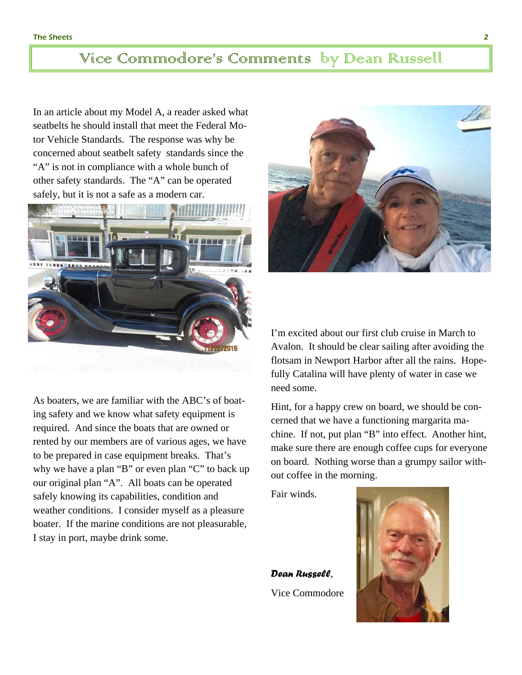### Vice Commodore's Comments by Dean Russell

In an article about my Model A, a reader asked what seatbelts he should install that meet the Federal Motor Vehicle Standards. The response was why be concerned about seatbelt safety standards since the "A" is not in compliance with a whole bunch of other safety standards. The "A" can be operated safely, but it is not a safe as a modern car.



As boaters, we are familiar with the ABC's of boating safety and we know what safety equipment is required. And since the boats that are owned or rented by our members are of various ages, we have to be prepared in case equipment breaks. That's why we have a plan "B" or even plan "C" to back up our original plan "A". All boats can be operated safely knowing its capabilities, condition and weather conditions. I consider myself as a pleasure boater. If the marine conditions are not pleasurable, I stay in port, maybe drink some.



I'm excited about our first club cruise in March to Avalon. It should be clear sailing after avoiding the flotsam in Newport Harbor after all the rains. Hopefully Catalina will have plenty of water in case we need some.

Hint, for a happy crew on board, we should be concerned that we have a functioning margarita machine. If not, put plan "B" into effect. Another hint, make sure there are enough coffee cups for everyone on board. Nothing worse than a grumpy sailor without coffee in the morning.

Fair winds.

*Dean Russell*, Vice Commodore

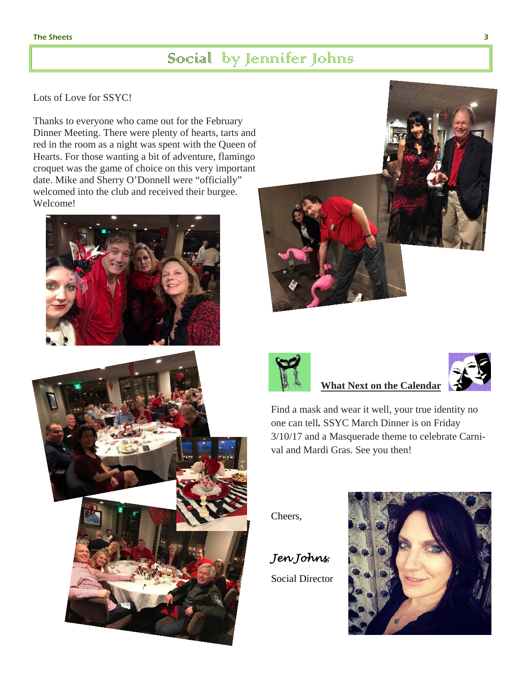### Social by Jennifer Johns

#### Lots of Love for SSYC!

Thanks to everyone who came out for the February Dinner Meeting. There were plenty of hearts, tarts and red in the room as a night was spent with the Queen of Hearts. For those wanting a bit of adventure, flamingo croquet was the game of choice on this very important date. Mike and Sherry O'Donnell were "officially" welcomed into the club and received their burgee. Welcome!









### **What Next on the Calendar**

Find a mask and wear it well, your true identity no one can tell*.* SSYC March Dinner is on Friday 3/10/17 and a Masquerade theme to celebrate Carnival and Mardi Gras. See you then!

Cheers,

*Jen Johns*, Social Director

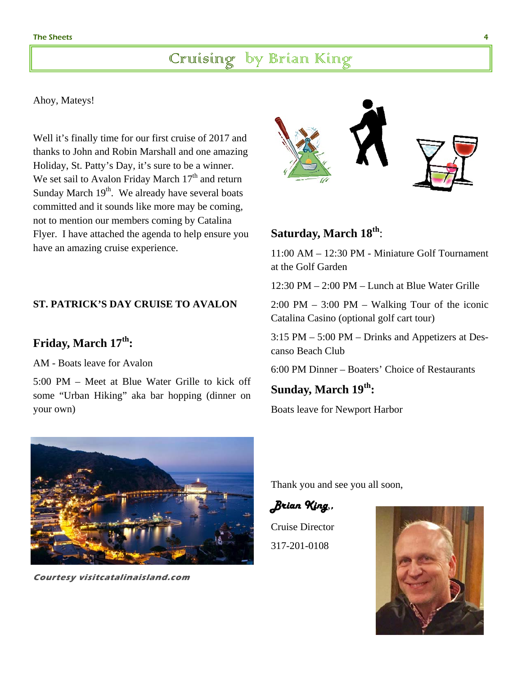### Cruising by Brian King

#### Ahoy, Mateys!

Well it's finally time for our first cruise of 2017 and thanks to John and Robin Marshall and one amazing Holiday, St. Patty's Day, it's sure to be a winner. We set sail to Avalon Friday March  $17<sup>th</sup>$  and return Sunday March  $19<sup>th</sup>$ . We already have several boats committed and it sounds like more may be coming, not to mention our members coming by Catalina Flyer. I have attached the agenda to help ensure you have an amazing cruise experience.

### **ST. PATRICK'S DAY CRUISE TO AVALON**

### **Friday, March 17th:**

AM - Boats leave for Avalon

5:00 PM – Meet at Blue Water Grille to kick off some "Urban Hiking" aka bar hopping (dinner on your own)



**Courtesy visitcatalinaisland.com** 



### **Saturday, March 18th**:

11:00 AM – 12:30 PM - Miniature Golf Tournament at the Golf Garden

12:30 PM – 2:00 PM – Lunch at Blue Water Grille

2:00 PM – 3:00 PM – Walking Tour of the iconic Catalina Casino (optional golf cart tour)

3:15 PM – 5:00 PM – Drinks and Appetizers at Descanso Beach Club

6:00 PM Dinner – Boaters' Choice of Restaurants

**Sunday, March 19th:** 

Boats leave for Newport Harbor

Thank you and see you all soon,

*Brian King*,*,* 

Cruise Director 317-201-0108

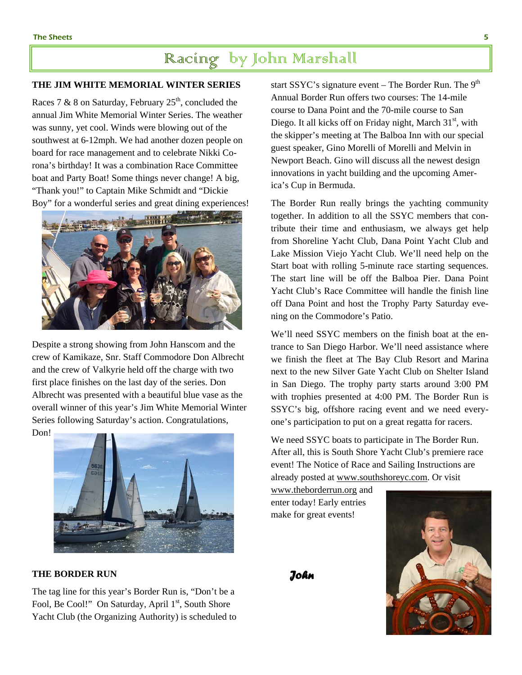### Racing by John Marshall

#### **THE JIM WHITE MEMORIAL WINTER SERIES**

Races 7 & 8 on Saturday, February  $25<sup>th</sup>$ , concluded the annual Jim White Memorial Winter Series. The weather was sunny, yet cool. Winds were blowing out of the southwest at 6-12mph. We had another dozen people on board for race management and to celebrate Nikki Corona's birthday! It was a combination Race Committee boat and Party Boat! Some things never change! A big, "Thank you!" to Captain Mike Schmidt and "Dickie Boy" for a wonderful series and great dining experiences!



Despite a strong showing from John Hanscom and the crew of Kamikaze, Snr. Staff Commodore Don Albrecht and the crew of Valkyrie held off the charge with two first place finishes on the last day of the series. Don Albrecht was presented with a beautiful blue vase as the overall winner of this year's Jim White Memorial Winter Series following Saturday's action. Congratulations, Don!



#### **THE BORDER RUN**

The tag line for this year's Border Run is, "Don't be a Fool, Be Cool!" On Saturday, April 1<sup>st</sup>, South Shore Yacht Club (the Organizing Authority) is scheduled to start SSYC's signature event – The Border Run. The  $9<sup>th</sup>$ Annual Border Run offers two courses: The 14-mile course to Dana Point and the 70-mile course to San Diego. It all kicks off on Friday night, March  $31<sup>st</sup>$ , with the skipper's meeting at The Balboa Inn with our special guest speaker, Gino Morelli of Morelli and Melvin in Newport Beach. Gino will discuss all the newest design innovations in yacht building and the upcoming America's Cup in Bermuda.

The Border Run really brings the yachting community together. In addition to all the SSYC members that contribute their time and enthusiasm, we always get help from Shoreline Yacht Club, Dana Point Yacht Club and Lake Mission Viejo Yacht Club. We'll need help on the Start boat with rolling 5-minute race starting sequences. The start line will be off the Balboa Pier. Dana Point Yacht Club's Race Committee will handle the finish line off Dana Point and host the Trophy Party Saturday evening on the Commodore's Patio.

We'll need SSYC members on the finish boat at the entrance to San Diego Harbor. We'll need assistance where we finish the fleet at The Bay Club Resort and Marina next to the new Silver Gate Yacht Club on Shelter Island in San Diego. The trophy party starts around 3:00 PM with trophies presented at 4:00 PM. The Border Run is SSYC's big, offshore racing event and we need everyone's participation to put on a great regatta for racers.

We need SSYC boats to participate in The Border Run. After all, this is South Shore Yacht Club's premiere race event! The Notice of Race and Sailing Instructions are already posted at www.southshoreyc.com. Or visit

www.theborderrun.org and enter today! Early entries make for great events!

*John*

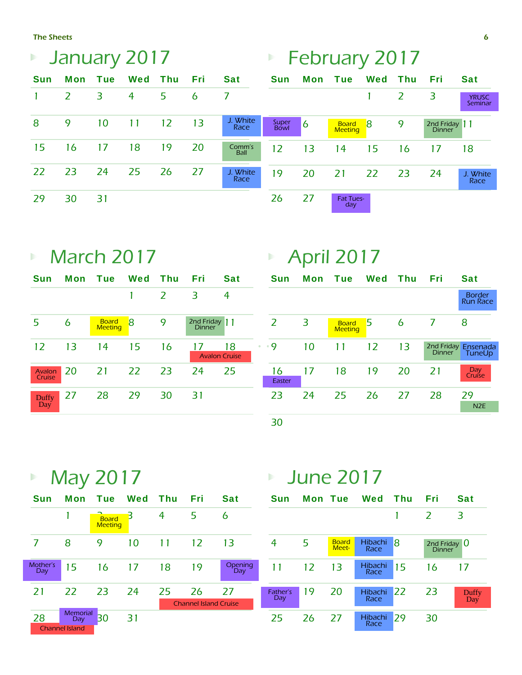The Sheets

| Þ          | January 2017 |     |         |    |                |                  |               | <b>February 2017</b><br>Þ |                                |     |     |                                |                         |
|------------|--------------|-----|---------|----|----------------|------------------|---------------|---------------------------|--------------------------------|-----|-----|--------------------------------|-------------------------|
| <b>Sun</b> | Mon          | Tue | Wed Thu |    | Fri            | <b>Sat</b>       | <b>Sun</b>    |                           | Mon Tue                        | Wed | Thu | Fri                            | <b>Sat</b>              |
|            | 2            | 3   | 4       | 5  | $\overline{6}$ |                  |               |                           |                                |     | 2   | 3                              | <b>YRUSC</b><br>Seminar |
| 8          | 9            | 10  | 11      | 12 | 13             | J. White<br>Race | Super<br>Bowl | $\overline{6}$            | <b>Board</b><br><b>Meeting</b> | -8  | 9   | 2nd Friday 11<br><b>Dinner</b> |                         |
| 15         | 16           | 17  | 18      | 19 | 20             | Comm's<br>Ball   | 12            | 13                        | 14                             | 15  | 16  | 17                             | 18                      |
| 22         | 23           | 24  | 25      | 26 | 27             | J. White<br>Race | 19            | 20                        | 21                             | 22  | 23  | 24                             | J. White<br>Race        |
| 29         | 30           | 31  |         |    |                |                  | 26            | 27                        | <b>Fat Tues-</b><br>day        |     |     |                                |                         |

## **March 2017**

| <b>Sun</b>       | <b>Mon</b> | <b>Tue</b>                     | Wed       | - Thu | Fri                         | <b>Sat</b> |   |
|------------------|------------|--------------------------------|-----------|-------|-----------------------------|------------|---|
|                  |            |                                |           | 2     | З                           | 4          |   |
| 5                | 6          | <b>Board</b><br><b>Meeting</b> | 8         | 9     | 2nd Friday<br><b>Dinner</b> | l 11       |   |
| 12               | 13         | 14                             | 15        | 16    | <b>Avalon Cruise</b>        | 18         | ۰ |
| Avalon<br>Cruise | 20         | 21                             | <b>22</b> | 23    | -24                         | 25         |   |
| Duffy<br>Day     | 27         | 28                             | 29        | 30    | 31                          |            |   |

## ■ April 2017

| <b>Sun</b>   | <b>Mon</b> | <b>Tue</b>                     | <b>Wed</b> | Thu | Fri           | Sat                              |
|--------------|------------|--------------------------------|------------|-----|---------------|----------------------------------|
|              |            |                                |            |     |               | <b>Border</b><br><b>Run Race</b> |
| 2            | 3          | <b>Board</b><br><b>Meeting</b> | 5          | 6   | 7             | 8                                |
| - 9          | 10         | 11                             | 12         | 13  | <b>Dinner</b> | 2nd Friday Ensenada<br>TuneUp    |
| 16<br>Easter | 17         | 18                             | 19         | 20  | 21            | Day.<br>Cruíse                   |
| 23           | 24         | 25                             | 26         | -27 | 28            | 29<br>N <sub>2E</sub>            |
| 30           |            |                                |            |     |               |                                  |

■ May 2017

| <b>Sun</b>      | Mon                                             | Tue Wed                        |    | <b>Thu</b> | Fri                                | <b>Sat</b>      | <b>Sun</b>      | N |
|-----------------|-------------------------------------------------|--------------------------------|----|------------|------------------------------------|-----------------|-----------------|---|
|                 |                                                 | <b>Board</b><br><b>Meeting</b> | Β  | 4          | 5                                  | 6               |                 |   |
| 7               | 8                                               | 9                              | 10 | 11         | 12                                 | 13              | 4               | 5 |
| Mother's<br>Day | 15                                              | 16                             | 17 | 18         | 19                                 | Opening<br>Day. | 11              |   |
| 21              | 22                                              | 23                             | 24 | 25         | 26<br><b>Channel Island Cruise</b> | 27              | Father's<br>Day | 1 |
| 28              | <b>Memorial</b><br>Day<br><b>Channel Island</b> | B0                             | 31 |            |                                    |                 | 25              | 2 |

## **June 2017**

| Fri                               | <b>Sat</b>     | <b>Sun</b>      | <b>Mon Tue</b> |                       | Wed             | Thu | Fri                             | <b>Sat</b>   |
|-----------------------------------|----------------|-----------------|----------------|-----------------------|-----------------|-----|---------------------------------|--------------|
| 5                                 | 6              |                 |                |                       |                 |     | $\mathcal{L}$                   | 3            |
| 12                                | 13             | 4               | 5              | <b>Board</b><br>Meet- | Hibachi<br>Race | 18  | 2nd Friday $0$<br><b>Dinner</b> |              |
| 19                                | Opening<br>Day | 11              | 12             | 13                    | Hibachi<br>Race | 15  | 16                              | 17           |
| 26<br><b>hannel Island Cruise</b> | 27             | Father's<br>Day | 19             | 20                    | Hibachi<br>Race | 22  | 23                              | Duffy<br>Day |
|                                   |                | 25              | 26             | -27                   | Hibachi<br>Race | 29  | 30                              |              |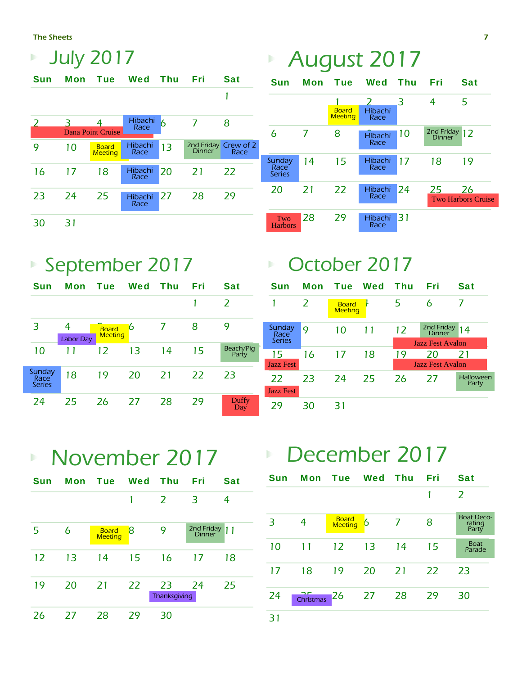The Sheets

|               |            | <b>July 2017</b>               |                 |            |        |                              |
|---------------|------------|--------------------------------|-----------------|------------|--------|------------------------------|
| Sun           | <b>Mon</b> | <b>Tue</b>                     | Wed             | <b>Thu</b> | Fri    | <b>Sat</b>                   |
|               |            |                                |                 |            |        | 1                            |
| $\mathcal{L}$ | ₹          | 4<br><b>Dana Point Cruise</b>  | Hibachi<br>Race | 6          | 7      | 8                            |
| 9             | 10         | <b>Board</b><br><b>Meeting</b> | Hibachi<br>Race | 13         | Dinner | 2nd Friday Crew of 2<br>Race |
| 16            | 17         | 18                             | Hibachi<br>Race | 20         | 21     | 22                           |
| 23            | 24         | 25                             | Hibachi<br>Race | 27         | 28     | 29                           |
| 30            | 31         |                                |                 |            |        |                              |

# August 2017

| <b>Sun</b>                      | <b>Mon</b> | <b>Tue</b>                     | Wed                  | Thu | Fri                         | <b>Sat</b>                      |
|---------------------------------|------------|--------------------------------|----------------------|-----|-----------------------------|---------------------------------|
|                                 |            | <b>Board</b><br><b>Meeting</b> | 2<br>Hibachi<br>Race | 3   | 4                           | 5                               |
| 6                               | 7          | 8                              | Hibachi<br>Race      | 10  | 2nd Friday<br><b>Dinner</b> | 12                              |
| Sunday<br>Race<br><b>Series</b> | 14         | 15                             | Hibachi<br>Race      | 17  | 18                          | 19                              |
| 20                              | 21         | 22                             | Hibachi<br>Race      | 24  | 25                          | 26<br><b>Two Harbors Cruise</b> |
| Two<br><b>Harbors</b>           | 28         | 29                             | Hibachi<br>Race      | 31  |                             |                                 |

## September 2017

| <b>Sun</b>                             | Mon                   | <b>Tue</b>                     | Wed | Thu | Fri | <b>Sat</b>         |
|----------------------------------------|-----------------------|--------------------------------|-----|-----|-----|--------------------|
|                                        |                       |                                |     |     |     | $\overline{z}$     |
| 3                                      | 4<br><b>Labor Day</b> | <b>Board</b><br><b>Meeting</b> | 6   |     | 8   | 9                  |
| 10                                     | 11                    | 12                             | 13  | 14  | 15  | Beach/Pig<br>Party |
| Sunday<br><b>Race</b><br><b>Series</b> | 18                    | 19                             | 20  | 21  | 22  | 23                 |
| 24                                     | 25                    | 26                             | 27  | 28  | 29  | Duffy<br>Day       |

## **D**ctober 2017

| <b>Sun</b>                  | <b>Mon</b>   | Tue Wed                        |    | Thu | Fri                     | Sat                       |
|-----------------------------|--------------|--------------------------------|----|-----|-------------------------|---------------------------|
|                             | <sub>2</sub> | <b>Board</b><br><b>Meeting</b> |    | 5   | 6                       |                           |
| Sunday<br>Race <sup>®</sup> | 9            | 10                             | 11 | 12  | 2nd Friday<br>Dinner    | 14                        |
| <b>Series</b>               |              |                                |    |     | <b>Jazz Fest Avalon</b> |                           |
| 15                          | 16           | 17                             | 18 | 19  | 20                      | 21                        |
| <b>Jazz Fest</b>            |              |                                |    |     | <b>Jazz Fest Avalon</b> |                           |
| 22                          | 23           | -24                            | 25 | -26 | -27                     | <b>Halloween</b><br>Party |
| <b>Jazz Fest</b>            |              |                                |    |     |                         |                           |
|                             | 30           |                                |    |     |                         |                           |

### November 2017  $\mathbf{p}$

| <b>Sun</b> | <b>Mon</b> | Tue                            | Wed | Thu                | Fri                  | Sat |
|------------|------------|--------------------------------|-----|--------------------|----------------------|-----|
|            |            |                                |     | 2                  | 3                    | 4   |
| 5          | 6          | <b>Board</b><br><b>Meeting</b> | 8   | 9                  | 2nd Friday<br>Dinner | 11  |
| 12         | 13         | 14                             | 15  | 16                 | 17                   | 18  |
| 19         | 20         | 21                             | 22  | 23<br>Thanksgiving | - 24                 | 25  |
| 26         | 27         | 28                             | 79  | 30                 |                      |     |

## December 2017

| <b>Sun</b> | Mon       | <b>Tue Wed</b>                 |    | <b>Thu</b> | Fri | Sat                                  |
|------------|-----------|--------------------------------|----|------------|-----|--------------------------------------|
|            |           |                                |    |            |     | 2                                    |
| 3          | 4         | <b>Board</b><br><b>Meeting</b> | 6  | 7          | 8   | <b>Boat Deco-</b><br>rating<br>Party |
| 10         | 11        | 12                             | 13 | 14         | 15  | <b>Boat</b><br>Parade                |
| 17         | 18        | 19                             | 20 | <b>21</b>  | 22  | 23                                   |
| 24         | Christmas | 26                             | 27 | 28         | 29  | 30                                   |
| 31         |           |                                |    |            |     |                                      |